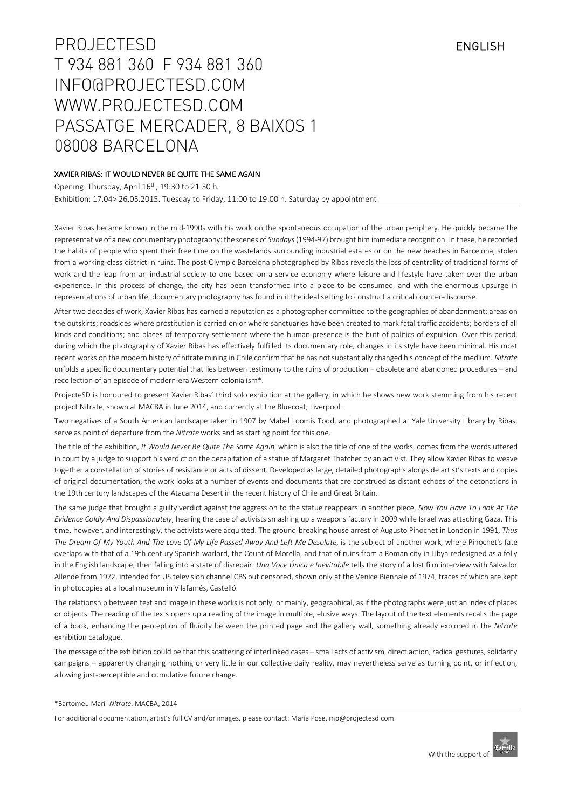# PROJECTESD ENGLISH T 934 881 360 F 934 881 360 [INFO@PROJECTESD.COM](mailto:INFO@PROJECTESD.COM) [WWW.PROJECTESD.COM](http://www.projectesd.com/) PASSATGE MERCADER, 8 BAIXOS 1 08008 BARCELONA

# XAVIER RIBAS: IT WOULD NEVER BE QUITE THE SAME AGAIN

Opening: Thursday, April 16th, 19:30 to 21:30 h. Exhibition: 17.04> 26.05.2015. Tuesday to Friday, 11:00 to 19:00 h. Saturday by appointment

Xavier Ribas became known in the mid-1990s with his work on the spontaneous occupation of the urban periphery. He quickly became the representative of a new documentary photography: the scenes of *Sundays*(1994-97) brought him immediate recognition. In these, he recorded the habits of people who spent their free time on the wastelands surrounding industrial estates or on the new beaches in Barcelona, stolen from a working-class district in ruins. The post-Olympic Barcelona photographed by Ribas reveals the loss of centrality of traditional forms of work and the leap from an industrial society to one based on a service economy where leisure and lifestyle have taken over the urban experience. In this process of change, the city has been transformed into a place to be consumed, and with the enormous upsurge in representations of urban life, documentary photography has found in it the ideal setting to construct a critical counter-discourse.

After two decades of work, Xavier Ribas has earned a reputation as a photographer committed to the geographies of abandonment: areas on the outskirts; roadsides where prostitution is carried on or where sanctuaries have been created to mark fatal traffic accidents; borders of all kinds and conditions; and places of temporary settlement where the human presence is the butt of politics of expulsion. Over this period, during which the photography of Xavier Ribas has effectively fulfilled its documentary role, changes in its style have been minimal. His most recent works on the modern history of nitrate mining in Chile confirm that he has not substantially changed his concept of the medium. *Nitrate* unfolds a specific documentary potential that lies between testimony to the ruins of production – obsolete and abandoned procedures – and recollection of an episode of modern-era Western colonialism\*.

ProjecteSD is honoured to present Xavier Ribas' third solo exhibition at the gallery, in which he shows new work stemming from his recent project Nitrate, shown at MACBA in June 2014, and currently at the Bluecoat, Liverpool.

Two negatives of a South American landscape taken in 1907 by Mabel Loomis Todd, and photographed at Yale University Library by Ribas, serve as point of departure from the *Nitrate* works and as starting point for this one.

The title of the exhibition, *It Would Never Be Quite The Same Again*, which is also the title of one of the works, comes from the words uttered in court by a judge to support his verdict on the decapitation of a statue of Margaret Thatcher by an activist. They allow Xavier Ribas to weave together a constellation of stories of resistance or acts of dissent. Developed as large, detailed photographs alongside artist's texts and copies of original documentation, the work looks at a number of events and documents that are construed as distant echoes of the detonations in the 19th century landscapes of the Atacama Desert in the recent history of Chile and Great Britain.

The same judge that brought a guilty verdict against the aggression to the statue reappears in another piece, *Now You Have To Look At The Evidence Coldly And Dispassionately*, hearing the case of activists smashing up a weapons factory in 2009 while Israel was attacking Gaza. This time, however, and interestingly, the activists were acquitted. The ground-breaking house arrest of Augusto Pinochet in London in 1991, *Thus*  The Dream Of My Youth And The Love Of My Life Passed Away And Left Me Desolate, is the subject of another work, where Pinochet's fate overlaps with that of a 19th century Spanish warlord, the Count of Morella, and that of ruins from a Roman city in Libya redesigned as a folly in the English landscape, then falling into a state of disrepair. *Una Voce Única e Inevitabile* tells the story of a lost film interview with Salvador Allende from 1972, intended for US television channel CBS but censored, shown only at the Venice Biennale of 1974, traces of which are kept in photocopies at a local museum in Vilafamés, Castelló.

The relationship between text and image in these works is not only, or mainly, geographical, as if the photographs were just an index of places or objects. The reading of the texts opens up a reading of the image in multiple, elusive ways. The layout of the text elements recalls the page of a book, enhancing the perception of fluidity between the printed page and the gallery wall, something already explored in the *Nitrate* exhibition catalogue.

The message of the exhibition could be that this scattering of interlinked cases – small acts of activism, direct action, radical gestures, solidarity campaigns – apparently changing nothing or very little in our collective daily reality, may nevertheless serve as turning point, or inflection, allowing just-perceptible and cumulative future change.

#### \*Bartomeu Marí- *Nitrate*. MACBA, 2014

For additional documentation, artist's full CV and/or images, please contact: María Pose[, mp@projectesd.com](mailto:mp@projectesd.com)